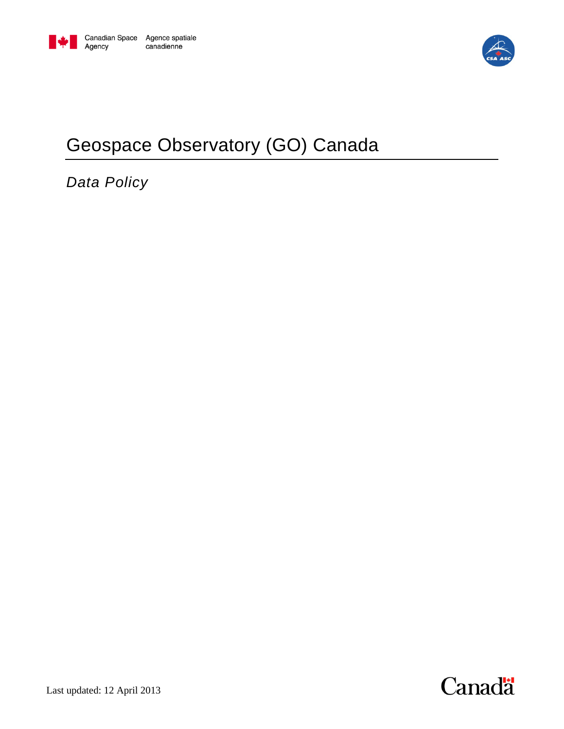

# Geospace Observatory (GO) Canada

*Data Policy*

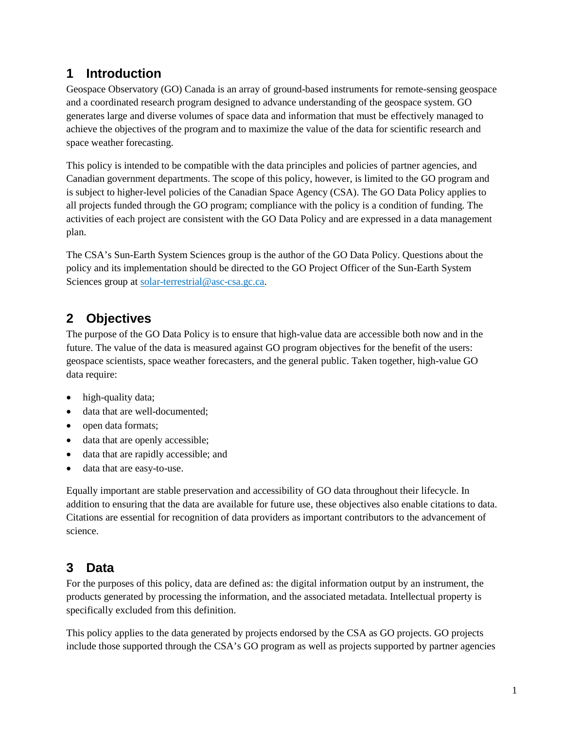#### **1 Introduction**

Geospace Observatory (GO) Canada is an array of ground-based instruments for remote-sensing geospace and a coordinated research program designed to advance understanding of the geospace system. GO generates large and diverse volumes of space data and information that must be effectively managed to achieve the objectives of the program and to maximize the value of the data for scientific research and space weather forecasting.

This policy is intended to be compatible with the data principles and policies of partner agencies, and Canadian government departments. The scope of this policy, however, is limited to the GO program and is subject to higher-level policies of the Canadian Space Agency (CSA). The GO Data Policy applies to all projects funded through the GO program; compliance with the policy is a condition of funding. The activities of each project are consistent with the GO Data Policy and are expressed in a data management plan.

The CSA's Sun-Earth System Sciences group is the author of the GO Data Policy. Questions about the policy and its implementation should be directed to the GO Project Officer of the Sun-Earth System Sciences group at [solar-terrestrial@asc-csa.gc.ca.](mailto:solar-terrestrial@asc-csa.gc.ca)

## **2 Objectives**

The purpose of the GO Data Policy is to ensure that high-value data are accessible both now and in the future. The value of the data is measured against GO program objectives for the benefit of the users: geospace scientists, space weather forecasters, and the general public. Taken together, high-value GO data require:

- high-quality data;
- data that are well-documented;
- open data formats;
- data that are openly accessible;
- data that are rapidly accessible; and
- data that are easy-to-use.

Equally important are stable preservation and accessibility of GO data throughout their lifecycle. In addition to ensuring that the data are available for future use, these objectives also enable citations to data. Citations are essential for recognition of data providers as important contributors to the advancement of science.

# **3 Data**

For the purposes of this policy, data are defined as: the digital information output by an instrument, the products generated by processing the information, and the associated metadata. Intellectual property is specifically excluded from this definition.

This policy applies to the data generated by projects endorsed by the CSA as GO projects. GO projects include those supported through the CSA's GO program as well as projects supported by partner agencies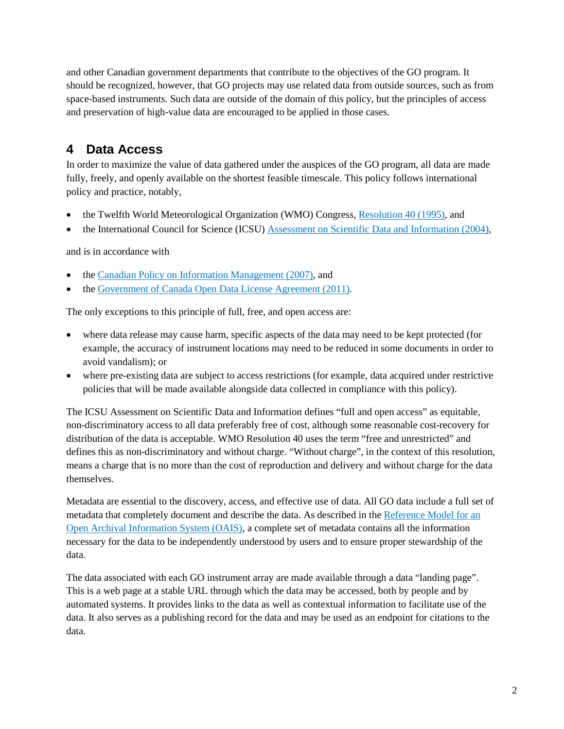and other Canadian government departments that contribute to the objectives of the GO program. It should be recognized, however, that GO projects may use related data from outside sources, such as from space-based instruments. Such data are outside of the domain of this policy, but the principles of access and preservation of high-value data are encouraged to be applied in those cases.

### **4 Data Access**

In order to maximize the value of data gathered under the auspices of the GO program, all data are made fully, freely, and openly available on the shortest feasible timescale. This policy follows international policy and practice, notably,

- the Twelfth World Meteorological Organization (WMO) Congress, [Resolution 40 \(1995\),](#page-5-0) and
- the International Council for Science (ICSU) [Assessment on Scientific Data and Information \(2004\),](#page-5-1)

and is in accordance with

- the Canadian [Policy on Information](#page-5-2) Management (2007), and
- the [Government of Canada Open Data License Agreement](#page-5-3) (2011).

The only exceptions to this principle of full, free, and open access are:

- where data release may cause harm, specific aspects of the data may need to be kept protected (for example, the accuracy of instrument locations may need to be reduced in some documents in order to avoid vandalism); or
- where pre-existing data are subject to access restrictions (for example, data acquired under restrictive policies that will be made available alongside data collected in compliance with this policy).

The ICSU Assessment on Scientific Data and Information defines "full and open access" as equitable, non-discriminatory access to all data preferably free of cost, although some reasonable cost-recovery for distribution of the data is acceptable. WMO Resolution 40 uses the term "free and unrestricted" and defines this as non-discriminatory and without charge. "Without charge", in the context of this resolution, means a charge that is no more than the cost of reproduction and delivery and without charge for the data themselves.

Metadata are essential to the discovery, access, and effective use of data. All GO data include a full set of metadata that completely document and describe the data. As described in the [Reference Model for an](#page-5-4)  [Open Archival Information System \(OAIS\),](#page-5-4) a complete set of metadata contains all the information necessary for the data to be independently understood by users and to ensure proper stewardship of the data.

The data associated with each GO instrument array are made available through a data "landing page". This is a web page at a stable URL through which the data may be accessed, both by people and by automated systems. It provides links to the data as well as contextual information to facilitate use of the data. It also serves as a publishing record for the data and may be used as an endpoint for citations to the data.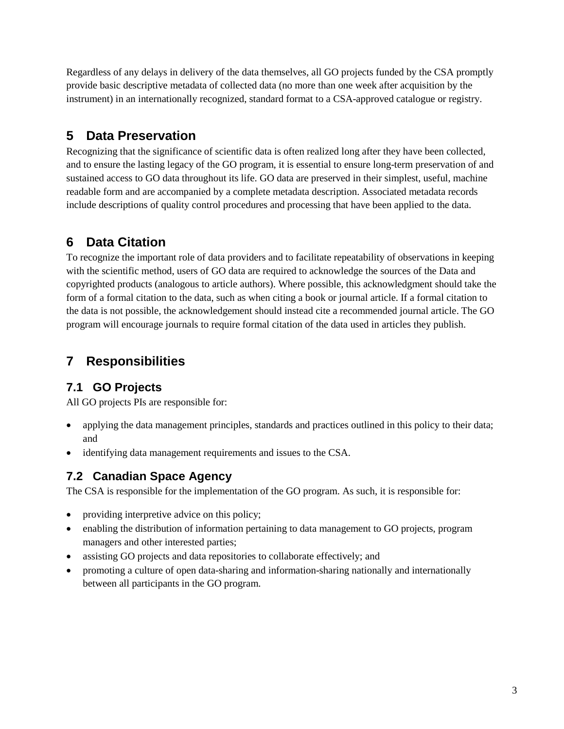Regardless of any delays in delivery of the data themselves, all GO projects funded by the CSA promptly provide basic descriptive metadata of collected data (no more than one week after acquisition by the instrument) in an internationally recognized, standard format to a CSA-approved catalogue or registry.

# **5 Data Preservation**

Recognizing that the significance of scientific data is often realized long after they have been collected, and to ensure the lasting legacy of the GO program, it is essential to ensure long-term preservation of and sustained access to GO data throughout its life. GO data are preserved in their simplest, useful, machine readable form and are accompanied by a complete metadata description. Associated metadata records include descriptions of quality control procedures and processing that have been applied to the data.

# **6 Data Citation**

To recognize the important role of data providers and to facilitate repeatability of observations in keeping with the scientific method, users of GO data are required to acknowledge the sources of the Data and copyrighted products (analogous to article authors). Where possible, this acknowledgment should take the form of a formal citation to the data, such as when citing a book or journal article. If a formal citation to the data is not possible, the acknowledgement should instead cite a recommended journal article. The GO program will encourage journals to require formal citation of the data used in articles they publish.

# **7 Responsibilities**

#### **7.1 GO Projects**

All GO projects PIs are responsible for:

- applying the data management principles, standards and practices outlined in this policy to their data; and
- identifying data management requirements and issues to the CSA.

#### **7.2 Canadian Space Agency**

The CSA is responsible for the implementation of the GO program. As such, it is responsible for:

- providing interpretive advice on this policy;
- enabling the distribution of information pertaining to data management to GO projects, program managers and other interested parties;
- assisting GO projects and data repositories to collaborate effectively; and
- promoting a culture of open data-sharing and information-sharing nationally and internationally between all participants in the GO program.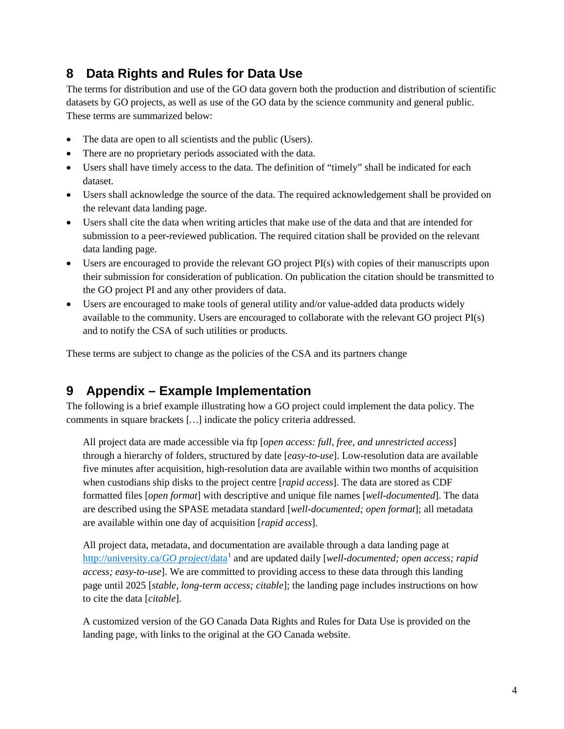#### <span id="page-4-0"></span>**8 Data Rights and Rules for Data Use**

The terms for distribution and use of the GO data govern both the production and distribution of scientific datasets by GO projects, as well as use of the GO data by the science community and general public. These terms are summarized below:

- The data are open to all scientists and the public (Users).
- There are no proprietary periods associated with the data.
- Users shall have timely access to the data. The definition of "timely" shall be indicated for each dataset.
- Users shall acknowledge the source of the data. The required acknowledgement shall be provided on the relevant data landing page.
- Users shall cite the data when writing articles that make use of the data and that are intended for submission to a peer-reviewed publication. The required citation shall be provided on the relevant data landing page.
- Users are encouraged to provide the relevant GO project PI(s) with copies of their manuscripts upon their submission for consideration of publication. On publication the citation should be transmitted to the GO project PI and any other providers of data.
- Users are encouraged to make tools of general utility and/or value-added data products widely available to the community. Users are encouraged to collaborate with the relevant GO project PI(s) and to notify the CSA of such utilities or products.

These terms are subject to change as the policies of the CSA and its partners change

#### **9 Appendix – Example Implementation**

The following is a brief example illustrating how a GO project could implement the data policy. The comments in square brackets [*…* ] indicate the policy criteria addressed.

All project data are made accessible via ftp [ *open access: full, free, and unrestricted access*] through a hierarchy of folders, structured by date [*easy-to-use*]. Low-resolution data are available five minutes after acquisition, high-resolution data are available within two months of acquisition when custodians ship disks to the project centre [*rapid access*]. The data are stored as CDF formatted files [*open format*] with descriptive and unique file names [*well-documented*]. The data are described using the SPASE metadata standard [*well-documented; open format*]; all metadata are available within one day of acquisition [*rapid access* ].

All project data, metadata, and documentation are available through a data landing page at [http://university.ca/](http://university.ca/GO%20project/data)*GO project*/data<sup>[1](#page-5-5)</sup> and are updated daily [*well-documented; open access; rapid access; easy-to-use*]. We are committed to providing access to these data through this landing page until 2025 [*stable, long-term access; citable*]; the landing page includes instructions on how to cite the data [*citable* ].

A customized version of the GO Canada [Data Rights and Rules for Data Use](#page-4-0) is provided on the landing page, with links to the original at the GO Canada website.